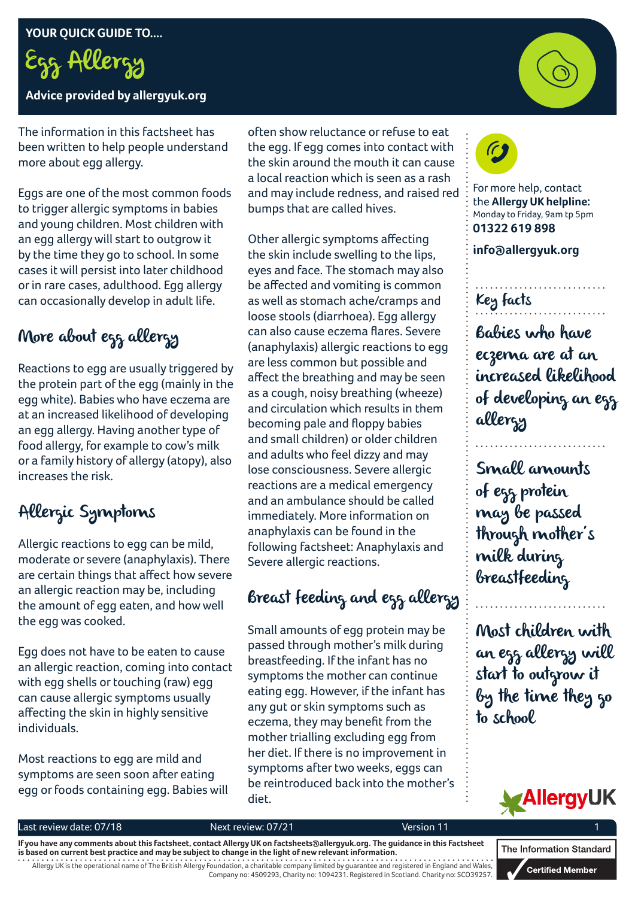Egg Allergy

**Advice provided by allergyuk.org**

The information in this factsheet has been written to help people understand more about egg allergy.

Eggs are one of the most common foods to trigger allergic symptoms in babies and young children. Most children with an egg allergy will start to outgrow it by the time they go to school. In some cases it will persist into later childhood or in rare cases, adulthood. Egg allergy can occasionally develop in adult life.

## More about egg allergy

Reactions to egg are usually triggered by the protein part of the egg (mainly in the egg white). Babies who have eczema are at an increased likelihood of developing an egg allergy. Having another type of food allergy, for example to cow's milk or a family history of allergy (atopy), also increases the risk.

## Allergic Symptoms

Allergic reactions to egg can be mild, moderate or severe (anaphylaxis). There are certain things that affect how severe an allergic reaction may be, including the amount of egg eaten, and how well the egg was cooked.

Egg does not have to be eaten to cause an allergic reaction, coming into contact with egg shells or touching (raw) egg can cause allergic symptoms usually affecting the skin in highly sensitive individuals.

Most reactions to egg are mild and symptoms are seen soon after eating egg or foods containing egg. Babies will often show reluctance or refuse to eat the egg. If egg comes into contact with the skin around the mouth it can cause a local reaction which is seen as a rash and may include redness, and raised red bumps that are called hives.

Other allergic symptoms affecting the skin include swelling to the lips, eyes and face. The stomach may also be affected and vomiting is common as well as stomach ache/cramps and loose stools (diarrhoea). Egg allergy can also cause eczema flares. Severe (anaphylaxis) allergic reactions to egg are less common but possible and affect the breathing and may be seen as a cough, noisy breathing (wheeze) and circulation which results in them becoming pale and floppy babies and small children) or older children and adults who feel dizzy and may lose consciousness. Severe allergic reactions are a medical emergency and an ambulance should be called immediately. More information on anaphylaxis can be found in the following factsheet: Anaphylaxis and Severe allergic reactions.

## Breast feeding and egg allergy

Small amounts of egg protein may be passed through mother's milk during breastfeeding. If the infant has no symptoms the mother can continue eating egg. However, if the infant has any gut or skin symptoms such as eczema, they may benefit from the mother trialling excluding egg from her diet. If there is no improvement in symptoms after two weeks, eggs can be reintroduced back into the mother's diet.



For more help, contact the **Allergy UK helpline:** Monday to Friday, 9am tp 5pm **01322 619 898**

**info@allergyuk.org**

# Key facts

Babies who have eczema are at an increased likelihood of developing an egg allergy

Small amounts of egg protein may be passed through mother's milk during breastfeeding

Most children with an egg allergy will start to outgrow it by the time they go to school



#### Last review date: 07/18 Next review: 07/21 Version 11

Allergy UK is the operational name of The British Allergy Foundation, a charitable company limited by guarantee and registered in England and Wales, Company no: 4509293, Charity no: 1094231. Registered in Scotland. Charity no: SCO39257. **If you have any comments about this factsheet, contact Allergy UK on factsheets@allergyuk.org. The guidance in this Factsheet is based on current best practice and may be subject to change in the light of new relevant information.**

The Information Standard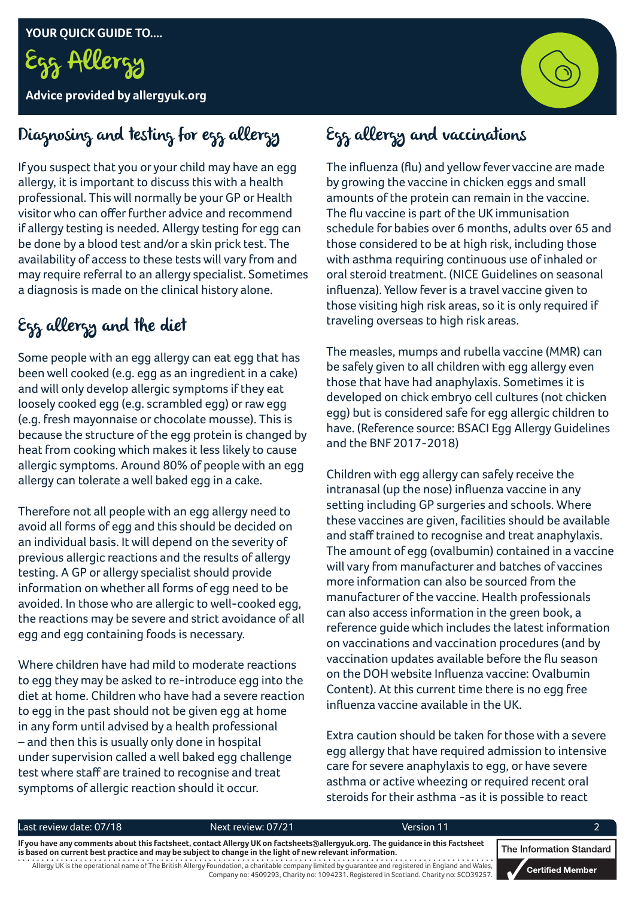

**Advice provided by allergyuk.org**



## Diagnosing and testing for egg allergy

If you suspect that you or your child may have an egg allergy, it is important to discuss this with a health professional. This will normally be your GP or Health visitor who can offer further advice and recommend if allergy testing is needed. Allergy testing for egg can be done by a blood test and/or a skin prick test. The availability of access to these tests will vary from and may require referral to an allergy specialist. Sometimes a diagnosis is made on the clinical history alone.

## Egg allergy and the diet

Some people with an egg allergy can eat egg that has been well cooked (e.g. egg as an ingredient in a cake) and will only develop allergic symptoms if they eat loosely cooked egg (e.g. scrambled egg) or raw egg (e.g. fresh mayonnaise or chocolate mousse). This is because the structure of the egg protein is changed by heat from cooking which makes it less likely to cause allergic symptoms. Around 80% of people with an egg allergy can tolerate a well baked egg in a cake.

Therefore not all people with an egg allergy need to avoid all forms of egg and this should be decided on an individual basis. It will depend on the severity of previous allergic reactions and the results of allergy testing. A GP or allergy specialist should provide information on whether all forms of egg need to be avoided. In those who are allergic to well-cooked egg, the reactions may be severe and strict avoidance of all egg and egg containing foods is necessary.

Where children have had mild to moderate reactions to egg they may be asked to re-introduce egg into the diet at home. Children who have had a severe reaction to egg in the past should not be given egg at home in any form until advised by a health professional – and then this is usually only done in hospital under supervision called a well baked egg challenge test where staff are trained to recognise and treat symptoms of allergic reaction should it occur.

## Egg allergy and vaccinations

The influenza (flu) and yellow fever vaccine are made by growing the vaccine in chicken eggs and small amounts of the protein can remain in the vaccine. The flu vaccine is part of the UK immunisation schedule for babies over 6 months, adults over 65 and those considered to be at high risk, including those with asthma requiring continuous use of inhaled or oral steroid treatment. (NICE Guidelines on seasonal influenza). Yellow fever is a travel vaccine given to those visiting high risk areas, so it is only required if traveling overseas to high risk areas.

The measles, mumps and rubella vaccine (MMR) can be safely given to all children with egg allergy even those that have had anaphylaxis. Sometimes it is developed on chick embryo cell cultures (not chicken egg) but is considered safe for egg allergic children to have. (Reference source: BSACI Egg Allergy Guidelines and the BNF 2017-2018)

Children with egg allergy can safely receive the intranasal (up the nose) influenza vaccine in any setting including GP surgeries and schools. Where these vaccines are given, facilities should be available and staff trained to recognise and treat anaphylaxis. The amount of egg (ovalbumin) contained in a vaccine will vary from manufacturer and batches of vaccines more information can also be sourced from the manufacturer of the vaccine. Health professionals can also access information in the green book, a reference guide which includes the latest information on vaccinations and vaccination procedures (and by vaccination updates available before the flu season on the DOH website Influenza vaccine: Ovalbumin Content). At this current time there is no egg free influenza vaccine available in the UK.

Extra caution should be taken for those with a severe egg allergy that have required admission to intensive care for severe anaphylaxis to egg, or have severe asthma or active wheezing or required recent oral steroids for their asthma -as it is possible to react

|                                                                                                                                                                                                                                             | Last review date: 07/18 | Next review: 07/21                                                                                                                                   | Version 11                                                                              |  |                               |  |
|---------------------------------------------------------------------------------------------------------------------------------------------------------------------------------------------------------------------------------------------|-------------------------|------------------------------------------------------------------------------------------------------------------------------------------------------|-----------------------------------------------------------------------------------------|--|-------------------------------|--|
| If you have any comments about this factsheet, contact Allergy UK on factsheets a allergyuk.org. The quidance in this Factsheet<br>is based on current best practice and may be subject to change in the light of new relevant information. |                         |                                                                                                                                                      |                                                                                         |  | <b>The Information Standa</b> |  |
|                                                                                                                                                                                                                                             |                         | Allergy UK is the operational name of The British Allergy Foundation, a charitable company limited by guarantee and registered in England and Wales, | Company no: 4509293, Charity no: 1094231. Registered in Scotland. Charity no: SCO39257. |  | <b>Certified Member</b>       |  |

dard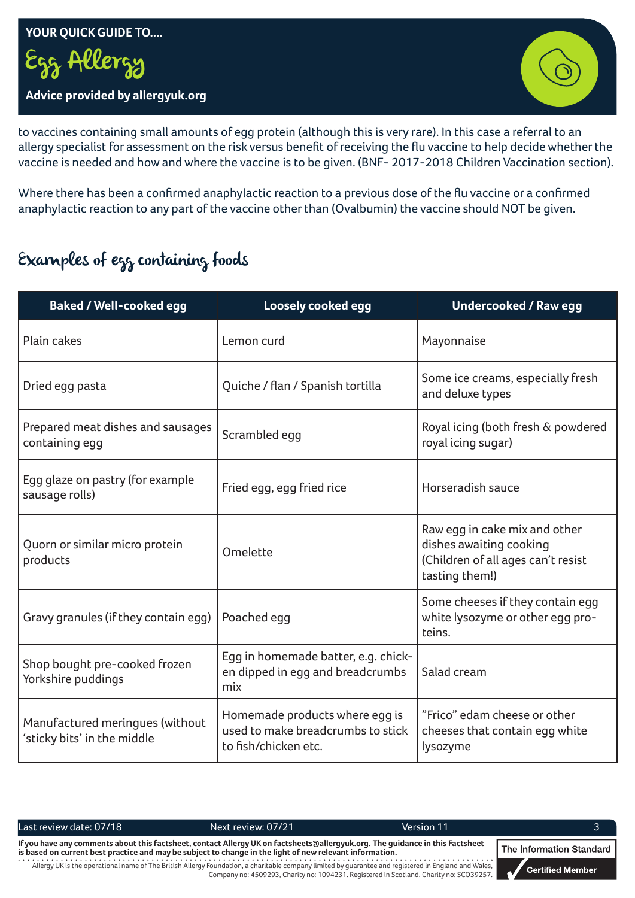#### **YOUR QUICK GUIDE TO....**

Egg Allergy

#### **Advice provided by allergyuk.org**



to vaccines containing small amounts of egg protein (although this is very rare). In this case a referral to an allergy specialist for assessment on the risk versus benefit of receiving the flu vaccine to help decide whether the vaccine is needed and how and where the vaccine is to be given. (BNF- 2017-2018 Children Vaccination section).

Where there has been a confirmed anaphylactic reaction to a previous dose of the flu vaccine or a confirmed anaphylactic reaction to any part of the vaccine other than (Ovalbumin) the vaccine should NOT be given.

## Examples of egg containing foods

| <b>Baked / Well-cooked egg</b>                                 | Loosely cooked egg                                                                          | <b>Undercooked / Raw egg</b>                                                                                     |  |  |
|----------------------------------------------------------------|---------------------------------------------------------------------------------------------|------------------------------------------------------------------------------------------------------------------|--|--|
| Plain cakes                                                    | Lemon curd                                                                                  | Mayonnaise                                                                                                       |  |  |
| Dried egg pasta                                                | Quiche / flan / Spanish tortilla                                                            | Some ice creams, especially fresh<br>and deluxe types                                                            |  |  |
| Prepared meat dishes and sausages<br>containing egg            | Scrambled egg                                                                               | Royal icing (both fresh & powdered<br>royal icing sugar)                                                         |  |  |
| Egg glaze on pastry (for example<br>sausage rolls)             | Fried egg, egg fried rice                                                                   | Horseradish sauce                                                                                                |  |  |
| Quorn or similar micro protein<br>products                     | Omelette                                                                                    | Raw egg in cake mix and other<br>dishes awaiting cooking<br>(Children of all ages can't resist<br>tasting them!) |  |  |
| Gravy granules (if they contain egg)                           | Poached egg                                                                                 | Some cheeses if they contain egg<br>white lysozyme or other egg pro-<br>teins.                                   |  |  |
| Shop bought pre-cooked frozen<br>Yorkshire puddings            | Egg in homemade batter, e.g. chick-<br>en dipped in egg and breadcrumbs<br>mix              | Salad cream                                                                                                      |  |  |
| Manufactured meringues (without<br>'sticky bits' in the middle | Homemade products where egg is<br>used to make breadcrumbs to stick<br>to fish/chicken etc. | "Frico" edam cheese or other<br>cheeses that contain egg white<br>lysozyme                                       |  |  |

Last review date: 07/18 The Mext review: 07/21 Next review: 07/21 Next review: 07/21 Next review: 07/21 Next review: 07/21 Next review: 07/21 Next review: 07/21 Next review: 07/21 Next review: 07/21 Next review: 07/21 Next

Allergy UK is the operational name of The British Allergy Foundation, a charitable company limited by guarantee and registered in England and Wales, Company no: 4509293, Charity no: 1094231. Registered in Scotland. Charity no: SCO39257. **If you have any comments about this factsheet, contact Allergy UK on factsheets@allergyuk.org. The guidance in this Factsheet is based on current best practice and may be subject to change in the light of new relevant information.**

The Information Standard

**Certified Member**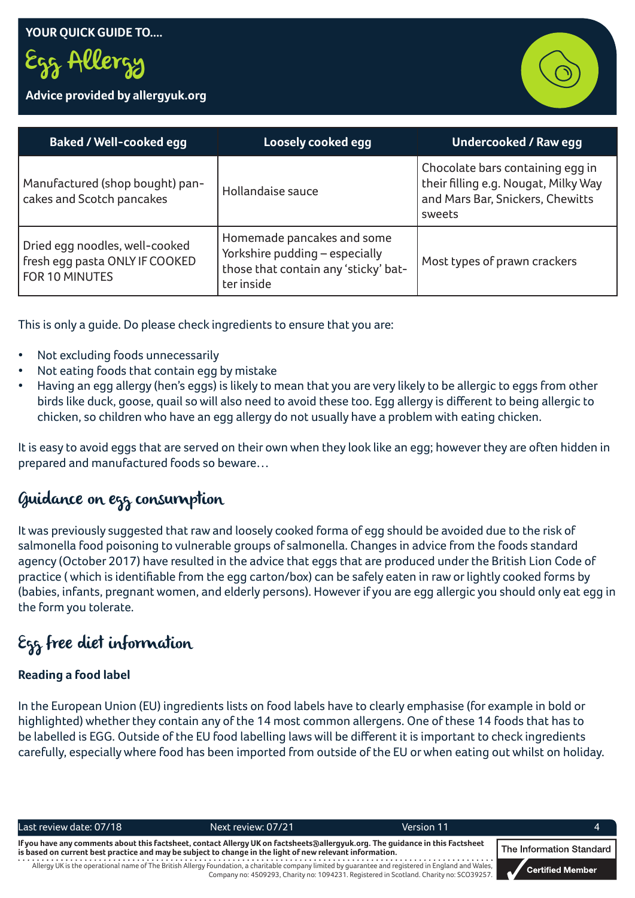Egg Allergy

#### **Advice provided by allergyuk.org**



| <b>Baked / Well-cooked egg</b>                                                     | Loosely cooked egg                                                                                                 | <b>Undercooked / Raw egg</b>                                                                                           |
|------------------------------------------------------------------------------------|--------------------------------------------------------------------------------------------------------------------|------------------------------------------------------------------------------------------------------------------------|
| Manufactured (shop bought) pan-<br>cakes and Scotch pancakes                       | Hollandaise sauce                                                                                                  | Chocolate bars containing egg in<br>their filling e.g. Nougat, Milky Way<br>and Mars Bar, Snickers, Chewitts<br>sweets |
| Dried egg noodles, well-cooked<br>fresh egg pasta ONLY IF COOKED<br>FOR 10 MINUTES | Homemade pancakes and some<br>Yorkshire pudding - especially<br>those that contain any 'sticky' bat-<br>ter inside | Most types of prawn crackers                                                                                           |

This is only a guide. Do please check ingredients to ensure that you are:

- Not excluding foods unnecessarily
- Not eating foods that contain egg by mistake
- Having an egg allergy (hen's eggs) is likely to mean that you are very likely to be allergic to eggs from other birds like duck, goose, quail so will also need to avoid these too. Egg allergy is different to being allergic to chicken, so children who have an egg allergy do not usually have a problem with eating chicken.

It is easy to avoid eggs that are served on their own when they look like an egg; however they are often hidden in prepared and manufactured foods so beware…

### Guidance on egg consumption

It was previously suggested that raw and loosely cooked forma of egg should be avoided due to the risk of salmonella food poisoning to vulnerable groups of salmonella. Changes in advice from the foods standard agency (October 2017) have resulted in the advice that eggs that are produced under the British Lion Code of practice ( which is identifiable from the egg carton/box) can be safely eaten in raw or lightly cooked forms by (babies, infants, pregnant women, and elderly persons). However if you are egg allergic you should only eat egg in the form you tolerate.

## Egg free diet information

#### **Reading a food label**

In the European Union (EU) ingredients lists on food labels have to clearly emphasise (for example in bold or highlighted) whether they contain any of the 14 most common allergens. One of these 14 foods that has to be labelled is EGG. Outside of the EU food labelling laws will be different it is important to check ingredients carefully, especially where food has been imported from outside of the EU or when eating out whilst on holiday.

| Last review date: 07/18                                                                                                                                                                                                                   | Next review: 07/21                                                                                                                                   | Version 11                                                                              |                  |
|-------------------------------------------------------------------------------------------------------------------------------------------------------------------------------------------------------------------------------------------|------------------------------------------------------------------------------------------------------------------------------------------------------|-----------------------------------------------------------------------------------------|------------------|
| If you have any comments about this factsheet, contact Allergy UK on factsheets∂allergyuk.org. The guidance in this Factsheet<br>is based on current best practice and may be subject to change in the light of new relevant information. | The Information Standard                                                                                                                             |                                                                                         |                  |
|                                                                                                                                                                                                                                           | Allergy UK is the operational name of The British Allergy Foundation, a charitable company limited by quarantee and registered in England and Wales, | Company no: 4509293, Charity no: 1094231. Registered in Scotland. Charity no: SCO39257. | Certified Member |